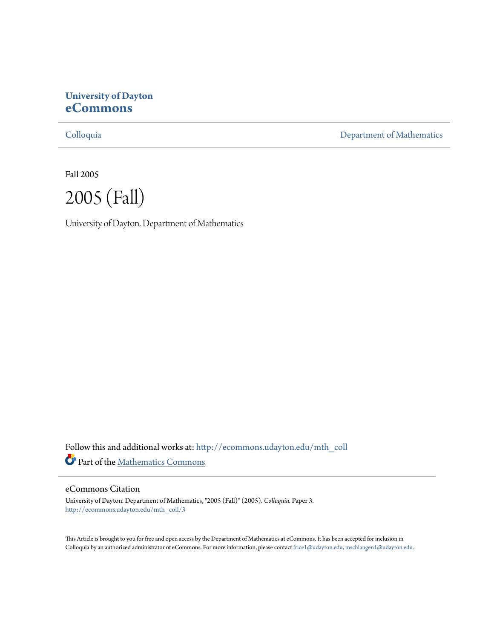# **University of Dayton [eCommons](http://ecommons.udayton.edu?utm_source=ecommons.udayton.edu%2Fmth_coll%2F3&utm_medium=PDF&utm_campaign=PDFCoverPages)**

[Colloquia](http://ecommons.udayton.edu/mth_coll?utm_source=ecommons.udayton.edu%2Fmth_coll%2F3&utm_medium=PDF&utm_campaign=PDFCoverPages) [Department of Mathematics](http://ecommons.udayton.edu/mth?utm_source=ecommons.udayton.edu%2Fmth_coll%2F3&utm_medium=PDF&utm_campaign=PDFCoverPages)

Fall 2005



University of Dayton. Department of Mathematics

Follow this and additional works at: [http://ecommons.udayton.edu/mth\\_coll](http://ecommons.udayton.edu/mth_coll?utm_source=ecommons.udayton.edu%2Fmth_coll%2F3&utm_medium=PDF&utm_campaign=PDFCoverPages) Part of the [Mathematics Commons](http://network.bepress.com/hgg/discipline/174?utm_source=ecommons.udayton.edu%2Fmth_coll%2F3&utm_medium=PDF&utm_campaign=PDFCoverPages)

#### eCommons Citation

University of Dayton. Department of Mathematics, "2005 (Fall)" (2005). *Colloquia.* Paper 3. [http://ecommons.udayton.edu/mth\\_coll/3](http://ecommons.udayton.edu/mth_coll/3?utm_source=ecommons.udayton.edu%2Fmth_coll%2F3&utm_medium=PDF&utm_campaign=PDFCoverPages)

This Article is brought to you for free and open access by the Department of Mathematics at eCommons. It has been accepted for inclusion in Colloquia by an authorized administrator of eCommons. For more information, please contact [frice1@udayton.edu, mschlangen1@udayton.edu.](mailto:frice1@udayton.edu,%20mschlangen1@udayton.edu)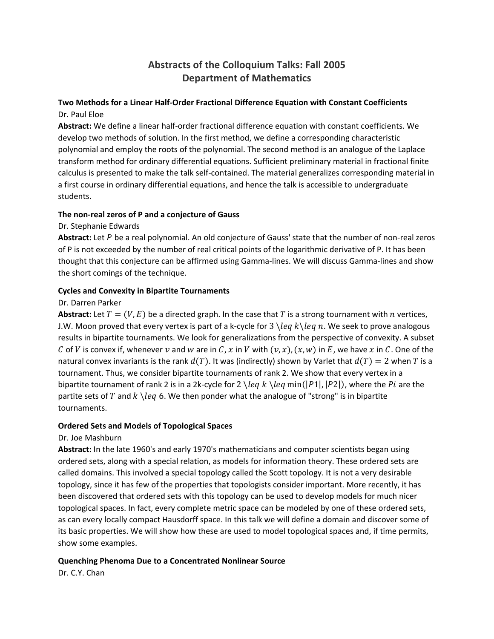# **Abstracts of the Colloquium Talks: Fall 2005 Department of Mathematics**

# **Two Methods for a Linear Half‐Order Fractional Difference Equation with Constant Coefficients** Dr. Paul Eloe

**Abstract:** We define a linear half‐order fractional difference equation with constant coefficients. We develop two methods of solution. In the first method, we define a corresponding characteristic polynomial and employ the roots of the polynomial. The second method is an analogue of the Laplace transform method for ordinary differential equations. Sufficient preliminary material in fractional finite calculus is presented to make the talk self‐contained. The material generalizes corresponding material in a first course in ordinary differential equations, and hence the talk is accessible to undergraduate students.

### **The non‐real zeros of P and a conjecture of Gauss**

### Dr. Stephanie Edwards

Abstract: Let P be a real polynomial. An old conjecture of Gauss' state that the number of non-real zeros of P is not exceeded by the number of real critical points of the logarithmic derivative of P. It has been thought that this conjecture can be affirmed using Gamma‐lines. We will discuss Gamma‐lines and show the short comings of the technique.

### **Cycles and Convexity in Bipartite Tournaments**

### Dr. Darren Parker

**Abstract:** Let  $T = (V, E)$  be a directed graph. In the case that T is a strong tournament with n vertices, J.W. Moon proved that every vertex is part of a k-cycle for  $3 \leq k \leq n$ . We seek to prove analogous results in bipartite tournaments. We look for generalizations from the perspective of convexity. A subset C of V is convex if, whenever v and w are in C, x in V with  $(v, x)$ ,  $(x, w)$  in E, we have x in C. One of the natural convex invariants is the rank  $d(T)$ . It was (indirectly) shown by Varlet that  $d(T) = 2$  when T is a tournament. Thus, we consider bipartite tournaments of rank 2. We show that every vertex in a bipartite tournament of rank 2 is in a 2k-cycle for  $2 \leq k \leq k \leq \frac{n(n[21], [22])}$ , where the Pi are the partite sets of T and  $k \leq k$  6. We then ponder what the analogue of "strong" is in bipartite tournaments.

# **Ordered Sets and Models of Topological Spaces**

# Dr. Joe Mashburn

**Abstract:** In the late 1960's and early 1970's mathematicians and computer scientists began using ordered sets, along with a special relation, as models for information theory. These ordered sets are called domains. This involved a special topology called the Scott topology. It is not a very desirable topology, since it has few of the properties that topologists consider important. More recently, it has been discovered that ordered sets with this topology can be used to develop models for much nicer topological spaces. In fact, every complete metric space can be modeled by one of these ordered sets, as can every locally compact Hausdorff space. In this talk we will define a domain and discover some of its basic properties. We will show how these are used to model topological spaces and, if time permits, show some examples.

# **Quenching Phenoma Due to a Concentrated Nonlinear Source**

Dr. C.Y. Chan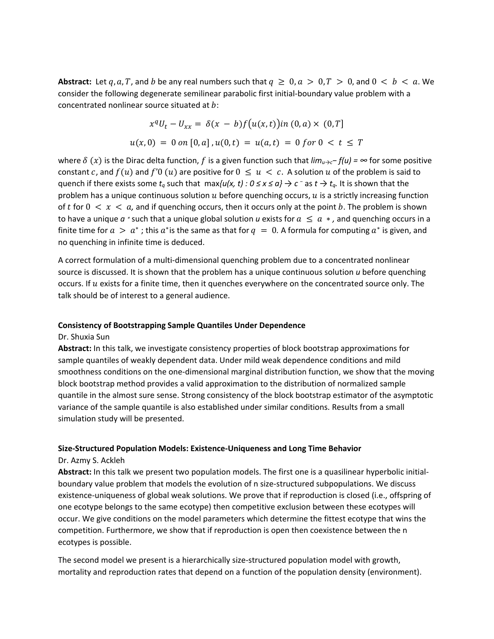**Abstract:** Let q, a, T, and b be any real numbers such that  $q \ge 0$ ,  $a > 0$ ,  $T > 0$ , and  $0 < b < a$ . We consider the following degenerate semilinear parabolic first initial-boundary value problem with a concentrated nonlinear source situated at  $b$ :

$$
x^{q}U_{t} - U_{xx} = \delta(x - b)f(u(x, t))in (0, a) \times (0, T]
$$
  
 
$$
u(x, 0) = 0 \text{ on } [0, a], u(0, t) = u(a, t) = 0 \text{ for } 0 < t \leq T
$$

where  $\delta$  (x) is the Dirac delta function, f is a given function such that  $lim_{u\to c}$ −  $f(u)$  = ∞ for some positive constant c, and  $f(u)$  and  $f'(0(u))$  are positive for  $0 \le u < c$ . A solution u of the problem is said to quench if there exists some  $t_q$  such that  $\max\{u(x, t): 0 \le x \le q\} \to c^-$  as  $t \to t_q$ . It is shown that the problem has a unique continuous solution  $u$  before quenching occurs,  $u$  is a strictly increasing function of t for  $0 < x < a$ , and if quenching occurs, then it occurs only at the point b. The problem is shown to have a unique  $a *$  such that a unique global solution  $u$  exists for  $a \le a *$ , and quenching occurs in a finite time for  $a > a^*$ ; this  $a^*$  is the same as that for  $q = 0$ . A formula for computing  $a^*$  is given, and no quenching in infinite time is deduced.

A correct formulation of a multi‐dimensional quenching problem due to a concentrated nonlinear source is discussed. It is shown that the problem has a unique continuous solution *u* before quenching occurs. If  $u$  exists for a finite time, then it quenches everywhere on the concentrated source only. The talk should be of interest to a general audience.

#### **Consistency of Bootstrapping Sample Quantiles Under Dependence**

#### Dr. Shuxia Sun

**Abstract:** In this talk, we investigate consistency properties of block bootstrap approximations for sample quantiles of weakly dependent data. Under mild weak dependence conditions and mild smoothness conditions on the one-dimensional marginal distribution function, we show that the moving block bootstrap method provides a valid approximation to the distribution of normalized sample quantile in the almost sure sense. Strong consistency of the block bootstrap estimator of the asymptotic variance of the sample quantile is also established under similar conditions. Results from a small simulation study will be presented.

#### **Size‐Structured Population Models: Existence‐Uniqueness and Long Time Behavior**

#### Dr. Azmy S. Ackleh

**Abstract:** In this talk we present two population models. The first one is a quasilinear hyperbolic initial‐ boundary value problem that models the evolution of n size‐structured subpopulations. We discuss existence-uniqueness of global weak solutions. We prove that if reproduction is closed (i.e., offspring of one ecotype belongs to the same ecotype) then competitive exclusion between these ecotypes will occur. We give conditions on the model parameters which determine the fittest ecotype that wins the competition. Furthermore, we show that if reproduction is open then coexistence between the n ecotypes is possible.

The second model we present is a hierarchically size‐structured population model with growth, mortality and reproduction rates that depend on a function of the population density (environment).